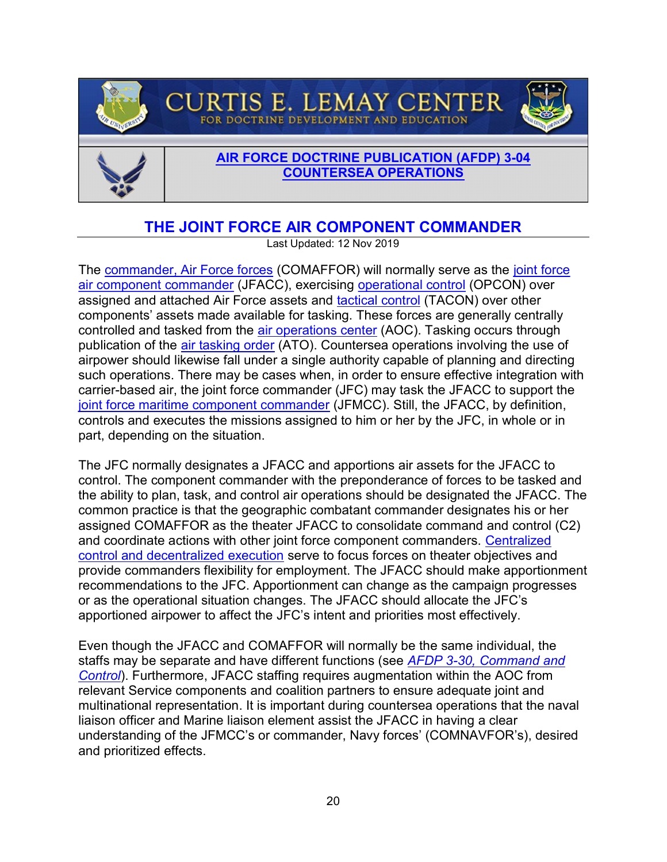



## [AIR FORCE DOCTRINE PUBLICATION \(AFDP\) 3-04](https://www.doctrine.af.mil/Doctrine-Annexes/Annex-3-04-Countersea-Ops/) COUNTERSEA OPERATIONS

## THE JOINT FORCE AIR COMPONENT COMMANDER

**CURTIS E. LEMAY CENTER** FOR DOCTRINE DEVELOPMENT AND EDUCATION

Last Updated: 12 Nov 2019

The commander, Air Force forces (COMAFFOR) will normally serve as the joint force air component commander (JFACC), exercising operational control (OPCON) over assigned and attached Air Force assets and tactical control (TACON) over other components' assets made available for tasking. These forces are generally centrally controlled and tasked from the air operations center (AOC). Tasking occurs through publication of the air tasking order (ATO). Countersea operations involving the use of airpower should likewise fall under a single authority capable of planning and directing such operations. There may be cases when, in order to ensure effective integration with carrier-based air, the joint force commander (JFC) may task the JFACC to support the joint force maritime component commander (JFMCC). Still, the JFACC, by definition, controls and executes the missions assigned to him or her by the JFC, in whole or in part, depending on the situation.

The JFC normally designates a JFACC and apportions air assets for the JFACC to control. The component commander with the preponderance of forces to be tasked and the ability to plan, task, and control air operations should be designated the JFACC. The common practice is that the geographic combatant commander designates his or her assigned COMAFFOR as the theater JFACC to consolidate command and control (C2) and coordinate actions with other joint force component commanders. Centralized control and decentralized execution serve to focus forces on theater objectives and provide commanders flexibility for employment. The JFACC should make apportionment recommendations to the JFC. Apportionment can change as the campaign progresses or as the operational situation changes. The JFACC should allocate the JFC's apportioned airpower to affect the JFC's intent and priorities most effectively.

Even though the JFACC and COMAFFOR will normally be the same individual, the staffs may be separate and have different functions (see AFDP 3-30, Command and Control). Furthermore, JFACC staffing requires augmentation within the AOC from relevant Service components and coalition partners to ensure adequate joint and multinational representation. It is important during countersea operations that the naval liaison officer and Marine liaison element assist the JFACC in having a clear understanding of the JFMCC's or commander, Navy forces' (COMNAVFOR's), desired and prioritized effects.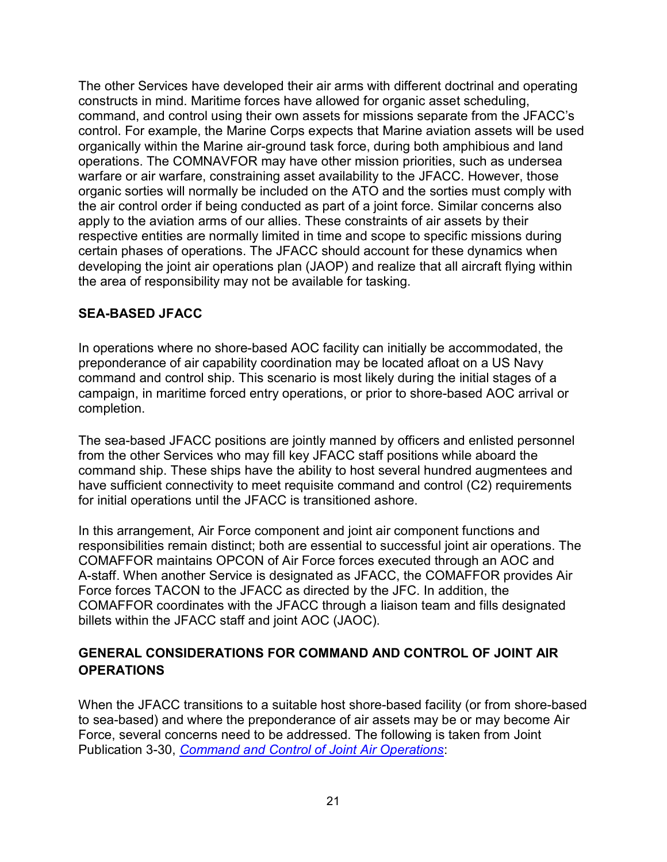The other Services have developed their air arms with different doctrinal and operating constructs in mind. Maritime forces have allowed for organic asset scheduling, command, and control using their own assets for missions separate from the JFACC's control. For example, the Marine Corps expects that Marine aviation assets will be used organically within the Marine air-ground task force, during both amphibious and land operations. The COMNAVFOR may have other mission priorities, such as undersea warfare or air warfare, constraining asset availability to the JFACC. However, those organic sorties will normally be included on the ATO and the sorties must comply with the air control order if being conducted as part of a joint force. Similar concerns also apply to the aviation arms of our allies. These constraints of air assets by their respective entities are normally limited in time and scope to specific missions during certain phases of operations. The JFACC should account for these dynamics when developing the joint air operations plan (JAOP) and realize that all aircraft flying within the area of responsibility may not be available for tasking.

## SEA-BASED JFACC

In operations where no shore-based AOC facility can initially be accommodated, the preponderance of air capability coordination may be located afloat on a US Navy command and control ship. This scenario is most likely during the initial stages of a campaign, in maritime forced entry operations, or prior to shore-based AOC arrival or completion.

The sea-based JFACC positions are jointly manned by officers and enlisted personnel from the other Services who may fill key JFACC staff positions while aboard the command ship. These ships have the ability to host several hundred augmentees and have sufficient connectivity to meet requisite command and control (C2) requirements for initial operations until the JFACC is transitioned ashore.

In this arrangement, Air Force component and joint air component functions and responsibilities remain distinct; both are essential to successful joint air operations. The COMAFFOR maintains OPCON of Air Force forces executed through an AOC and A-staff. When another Service is designated as JFACC, the COMAFFOR provides Air Force forces TACON to the JFACC as directed by the JFC. In addition, the COMAFFOR coordinates with the JFACC through a liaison team and fills designated billets within the JFACC staff and joint AOC (JAOC).

## GENERAL CONSIDERATIONS FOR COMMAND AND CONTROL OF JOINT AIR **OPERATIONS**

When the JFACC transitions to a suitable host shore-based facility (or from shore-based to sea-based) and where the preponderance of air assets may be or may become Air Force, several concerns need to be addressed. The following is taken from Joint Publication 3-30, Command and Control of Joint Air Operations: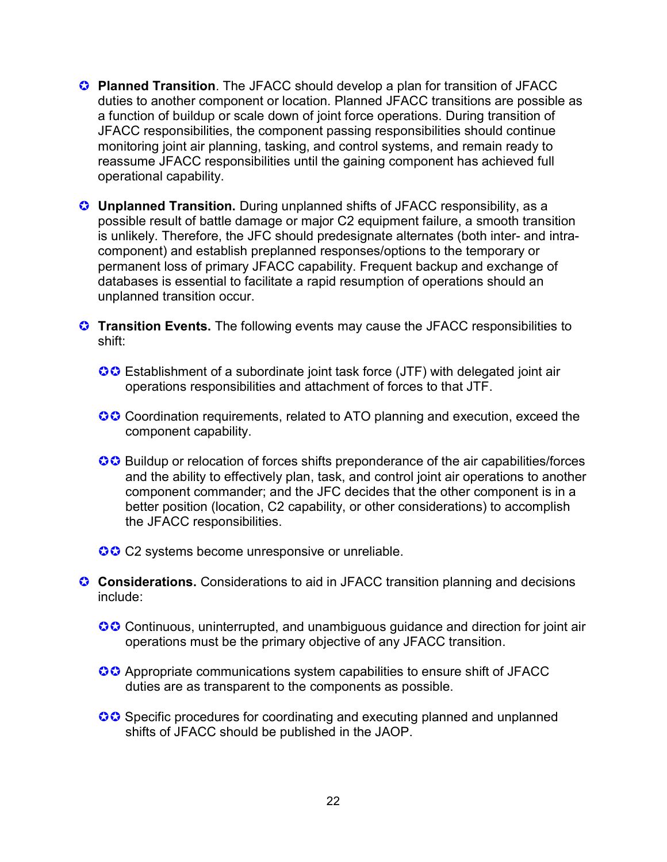- Planned Transition. The JFACC should develop a plan for transition of JFACC duties to another component or location. Planned JFACC transitions are possible as a function of buildup or scale down of joint force operations. During transition of JFACC responsibilities, the component passing responsibilities should continue monitoring joint air planning, tasking, and control systems, and remain ready to reassume JFACC responsibilities until the gaining component has achieved full operational capability.
- **C** Unplanned Transition. During unplanned shifts of JFACC responsibility, as a possible result of battle damage or major C2 equipment failure, a smooth transition is unlikely. Therefore, the JFC should predesignate alternates (both inter- and intracomponent) and establish preplanned responses/options to the temporary or permanent loss of primary JFACC capability. Frequent backup and exchange of databases is essential to facilitate a rapid resumption of operations should an unplanned transition occur.
- **C** Transition Events. The following events may cause the JFACC responsibilities to shift:
	- **CC** Establishment of a subordinate joint task force (JTF) with delegated joint air operations responsibilities and attachment of forces to that JTF.
	- **Coordination requirements, related to ATO planning and execution, exceed the** component capability.
	- **CC** Buildup or relocation of forces shifts preponderance of the air capabilities/forces and the ability to effectively plan, task, and control joint air operations to another component commander; and the JFC decides that the other component is in a better position (location, C2 capability, or other considerations) to accomplish the JFACC responsibilities.
	- **CC** C2 systems become unresponsive or unreliable.
- **Considerations.** Considerations to aid in JFACC transition planning and decisions include:
	- **CC** Continuous, uninterrupted, and unambiguous guidance and direction for joint air operations must be the primary objective of any JFACC transition.
	- **CC** Appropriate communications system capabilities to ensure shift of JFACC duties are as transparent to the components as possible.
	- **S**C Specific procedures for coordinating and executing planned and unplanned shifts of JFACC should be published in the JAOP.